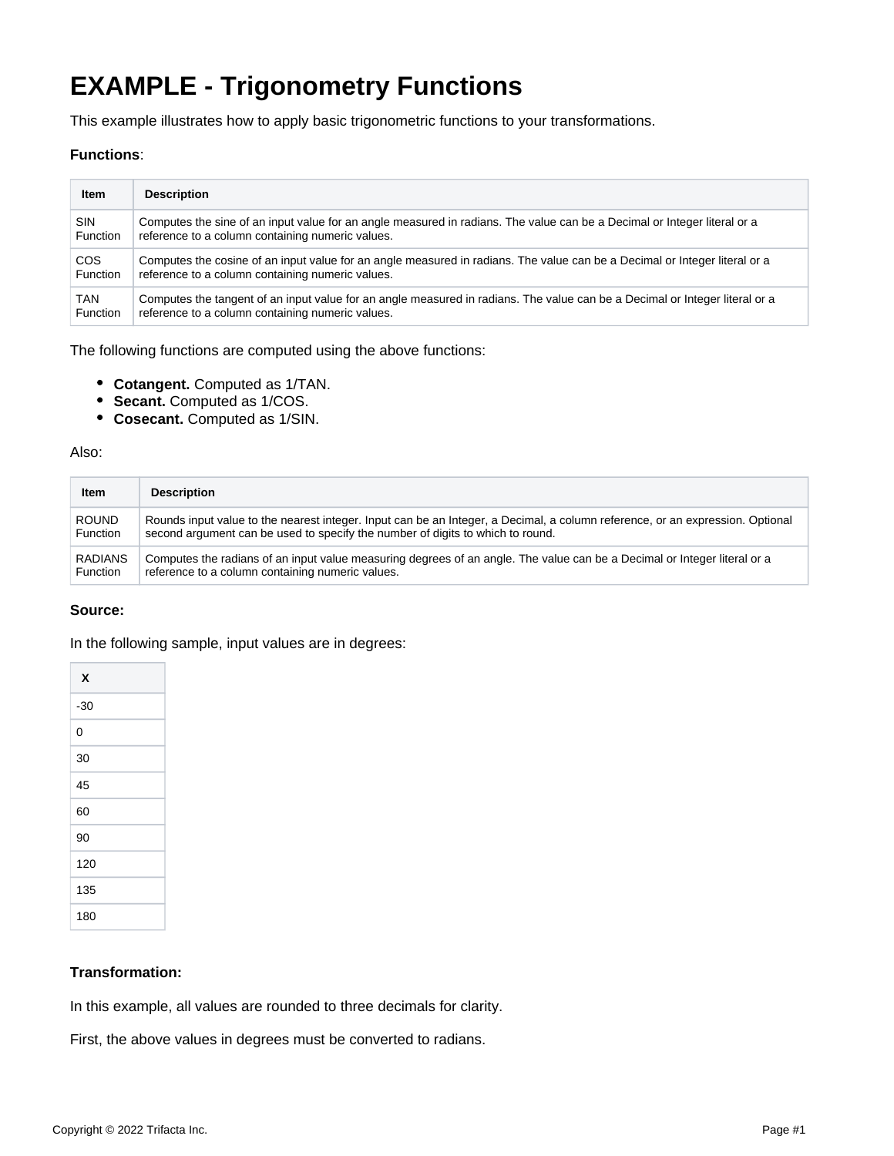# **EXAMPLE - Trigonometry Functions**

This example illustrates how to apply basic trigonometric functions to your transformations.

#### **Functions**:

| <b>Item</b> | <b>Description</b>                                                                                                          |
|-------------|-----------------------------------------------------------------------------------------------------------------------------|
| <b>SIN</b>  | Computes the sine of an input value for an angle measured in radians. The value can be a Decimal or Integer literal or a    |
| Function    | reference to a column containing numeric values.                                                                            |
| <b>COS</b>  | Computes the cosine of an input value for an angle measured in radians. The value can be a Decimal or Integer literal or a  |
| Function    | reference to a column containing numeric values.                                                                            |
| TAN         | Computes the tangent of an input value for an angle measured in radians. The value can be a Decimal or Integer literal or a |
| Function    | reference to a column containing numeric values.                                                                            |

The following functions are computed using the above functions:

- **Cotangent.** Computed as 1/TAN.
- **Secant.** Computed as 1/COS.
- **Cosecant.** Computed as 1/SIN.

#### Also:

| Item           | <b>Description</b>                                                                                                            |
|----------------|-------------------------------------------------------------------------------------------------------------------------------|
| <b>ROUND</b>   | Rounds input value to the nearest integer. Input can be an Integer, a Decimal, a column reference, or an expression. Optional |
| Function       | second argument can be used to specify the number of digits to which to round.                                                |
| <b>RADIANS</b> | Computes the radians of an input value measuring degrees of an angle. The value can be a Decimal or Integer literal or a      |
| Function       | reference to a column containing numeric values.                                                                              |

#### **Source:**

In the following sample, input values are in degrees:

#### **Transformation:**

In this example, all values are rounded to three decimals for clarity.

First, the above values in degrees must be converted to radians.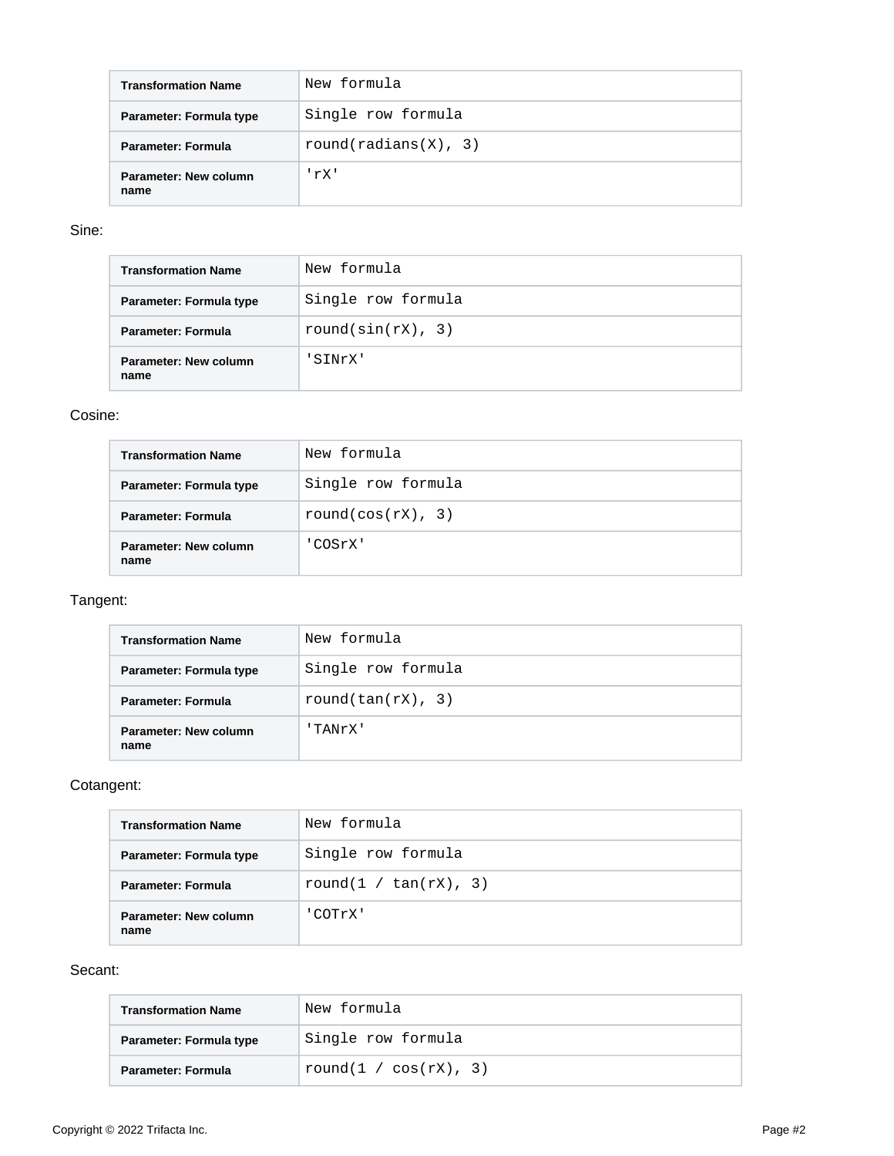| <b>Transformation Name</b>    | New formula          |
|-------------------------------|----------------------|
| Parameter: Formula type       | Single row formula   |
| Parameter: Formula            | round(radians(X), 3) |
| Parameter: New column<br>name | rX'                  |

#### Sine:

| <b>Transformation Name</b>    | New formula           |
|-------------------------------|-----------------------|
| Parameter: Formula type       | Single row formula    |
| Parameter: Formula            | round( $sin(rX)$ , 3) |
| Parameter: New column<br>name | SINrX'                |

#### Cosine:

| <b>Transformation Name</b>    | New formula        |
|-------------------------------|--------------------|
| Parameter: Formula type       | Single row formula |
| Parameter: Formula            | round(cos(rX), 3)  |
| Parameter: New column<br>name | 'COSrX'            |

## Tangent:

| <b>Transformation Name</b>    | New formula           |
|-------------------------------|-----------------------|
| Parameter: Formula type       | Single row formula    |
| Parameter: Formula            | round(tan( $rX$ ), 3) |
| Parameter: New column<br>name | 'TANrX'               |

## Cotangent:

| <b>Transformation Name</b>    | New formula              |  |  |
|-------------------------------|--------------------------|--|--|
| Parameter: Formula type       | Single row formula       |  |  |
| Parameter: Formula            | round(1 / $tan(rX)$ , 3) |  |  |
| Parameter: New column<br>name | COTrX'                   |  |  |

#### Secant:

| <b>Transformation Name</b> | 'New formula             |
|----------------------------|--------------------------|
| Parameter: Formula type    | Single row formula       |
| Parameter: Formula         | round(1 / $cos(rX)$ , 3) |